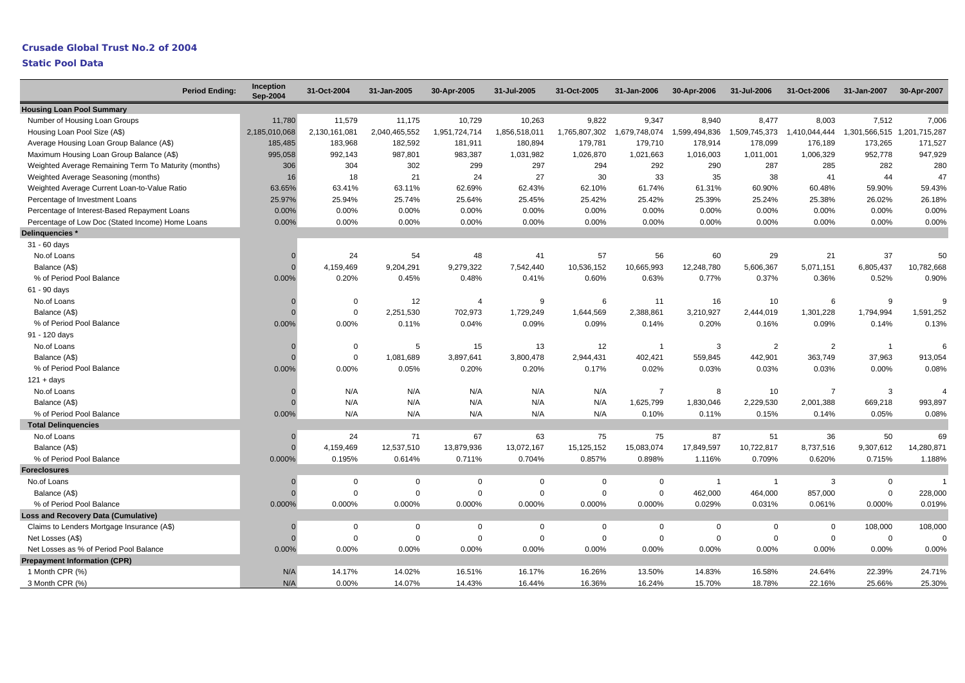| Sep-2004                                                                                                                                                                                               |                               |
|--------------------------------------------------------------------------------------------------------------------------------------------------------------------------------------------------------|-------------------------------|
| <b>Housing Loan Pool Summary</b>                                                                                                                                                                       |                               |
| Number of Housing Loan Groups<br>11,780<br>11,579<br>11,175<br>10,729<br>10,263<br>9,822<br>9,347<br>8,940<br>8,477<br>8,003                                                                           | 7,512<br>7,006                |
| 2,040,465,552<br>1,765,807,302<br>1,599,494,836<br>1,509,745,373<br>Housing Loan Pool Size (A\$)<br>2,185,010,068<br>2,130,161,081<br>1,951,724,714<br>1,856,518,011<br>1,679,748,074<br>1,410,044,444 | 1,301,566,515 1,201,715,287   |
| 185,485<br>183,968<br>182,592<br>181,911<br>180,894<br>179,781<br>179,710<br>178,914<br>178,099<br>176,189<br>Average Housing Loan Group Balance (A\$)                                                 | 173,265<br>171,527            |
| 995,058<br>987,801<br>Maximum Housing Loan Group Balance (A\$)<br>992,143<br>983,387<br>1,031,982<br>1,026,870<br>1,021,663<br>1,016,003<br>1,011,001<br>1,006,329                                     | 952,778<br>947,929            |
| 306<br>302<br>299<br>297<br>294<br>292<br>290<br>287<br>285<br>Weighted Average Remaining Term To Maturity (months)<br>304                                                                             | 282<br>280                    |
| 21<br>24<br>27<br>30<br>33<br>35<br>38<br>41<br>Weighted Average Seasoning (months)<br>16<br>18                                                                                                        | 47<br>44                      |
| 62.43%<br>Weighted Average Current Loan-to-Value Ratio<br>63.65%<br>63.41%<br>63.11%<br>62.69%<br>62.10%<br>61.74%<br>61.31%<br>60.90%<br>60.48%                                                       | 59.43%<br>59.90%              |
| 25.97%<br>25.94%<br>25.74%<br>25.64%<br>25.45%<br>25.42%<br>25.42%<br>25.39%<br>25.24%<br>25.38%<br>Percentage of Investment Loans                                                                     | 26.02%<br>26.18%              |
| 0.00%<br>0.00%<br>0.00%<br>0.00%<br>0.00%<br>0.00%<br>0.00%<br>Percentage of Interest-Based Repayment Loans<br>0.00%<br>0.00%<br>0.00%                                                                 | 0.00%<br>0.00%                |
| 0.00%<br>0.00%<br>0.00%<br>0.00%<br>0.00%<br>0.00%<br>0.00%<br>0.00%<br>0.00%<br>Percentage of Low Doc (Stated Income) Home Loans<br>0.00%                                                             | 0.00%<br>0.00%                |
| Delinquencies *                                                                                                                                                                                        |                               |
| 31 - 60 days                                                                                                                                                                                           |                               |
| No.of Loans<br>24<br>54<br>48<br>41<br>57<br>56<br>60<br>29<br>21<br>$\Omega$                                                                                                                          | 37<br>50                      |
| 4,159,469<br>9,204,291<br>9,279,322<br>10,536,152<br>10,665,993<br>12,248,780<br>5,606,367<br>5,071,151<br>Balance (A\$)<br>7,542,440<br>6,805,437<br>$\Omega$                                         | 10,782,668                    |
| 0.77%<br>0.00%<br>0.20%<br>0.45%<br>0.48%<br>0.41%<br>0.60%<br>0.63%<br>0.37%<br>0.36%<br>% of Period Pool Balance                                                                                     | 0.52%<br>0.90%                |
| 61 - 90 days                                                                                                                                                                                           |                               |
| 12<br>9<br>11<br>16<br>10<br>6<br>No.of Loans<br>0<br>$\overline{4}$<br>6<br>$\Omega$                                                                                                                  | 9<br>9                        |
| $\mathbf 0$<br>2,251,530<br>702,973<br>1,729,249<br>1,644,569<br>2,388,861<br>3,210,927<br>2,444,019<br>1,301,228<br>1,794,994<br>Balance (A\$)<br>$\Omega$                                            | 1,591,252                     |
| 0.20%<br>0.00%<br>0.11%<br>0.09%<br>0.09%<br>0.14%<br>0.16%<br>0.09%<br>% of Period Pool Balance<br>0.00%<br>0.04%                                                                                     | 0.14%<br>0.13%                |
| 91 - 120 days                                                                                                                                                                                          |                               |
| 12<br>3<br>2<br>No.of Loans<br>0<br>5<br>15<br>13<br>$\overline{1}$<br>2<br>$\Omega$                                                                                                                   | 6<br>$\overline{1}$           |
| $\mathsf{O}\phantom{0}$<br>1,081,689<br>3,800,478<br>559,845<br>3,897,641<br>2,944,431<br>402,421<br>442,901<br>363,749<br>Balance (A\$)<br>$\sqrt{ }$                                                 | 37,963<br>913,054             |
| 0.20%<br>0.20%<br>0.17%<br>% of Period Pool Balance<br>0.00%<br>0.00%<br>0.05%<br>0.02%<br>0.03%<br>0.03%<br>0.03%                                                                                     | 0.00%<br>0.08%                |
| $121 + days$                                                                                                                                                                                           |                               |
| N/A<br>N/A<br>N/A<br>N/A<br>N/A<br>$\overline{7}$<br>8<br>10<br>$\overline{7}$<br>No.of Loans                                                                                                          | 3<br>$\overline{4}$           |
| N/A<br>N/A<br>N/A<br>N/A<br>N/A<br>1,625,799<br>1,830,046<br>2,229,530<br>Balance (A\$)<br>2,001,388<br>$\Omega$                                                                                       | 669,218<br>993,897            |
| 0.00%<br>N/A<br>N/A<br>N/A<br>N/A<br>% of Period Pool Balance<br>N/A<br>0.10%<br>0.11%<br>0.15%<br>0.14%                                                                                               | 0.05%<br>0.08%                |
| <b>Total Delinguencies</b>                                                                                                                                                                             |                               |
| 24<br>71<br>67<br>63<br>75<br>75<br>87<br>36<br>No.of Loans<br>51<br>$\Omega$                                                                                                                          | 50<br>69                      |
| 4,159,469<br>12,537,510<br>13,879,936<br>15,125,152<br>15,083,074<br>17,849,597<br>10,722,817<br>9,307,612<br>13,072,167<br>8,737,516<br>Balance (A\$)<br>$\Omega$                                     | 14,280,871                    |
| 0.000%<br>0.195%<br>0.614%<br>0.704%<br>0.857%<br>1.116%<br>0.709%<br>0.620%<br>% of Period Pool Balance<br>0.711%<br>0.898%                                                                           | 0.715%<br>1.188%              |
| <b>Foreclosures</b>                                                                                                                                                                                    |                               |
| 3<br>No.of Loans<br>0<br>$\mathbf 0$<br>$\Omega$<br>$\mathbf 0$<br>$\Omega$<br>$\mathbf 0$<br>$\overline{1}$<br>$\Omega$<br>$\overline{1}$                                                             | $\mathsf 0$<br>$\overline{1}$ |
| $\mathbf 0$<br>$\mathbf 0$<br>$\mathbf{0}$<br>$\Omega$<br>$\Omega$<br>$\Omega$<br>462,000<br>464,000<br>857,000<br>Balance (A\$)<br>$\Omega$                                                           | $\Omega$<br>228,000           |
| 0.000%<br>0.000%<br>0.000%<br>0.000%<br>0.000%<br>0.000%<br>0.000%<br>0.029%<br>0.031%<br>% of Period Pool Balance<br>0.061%                                                                           | 0.000%<br>0.019%              |
| <b>Loss and Recovery Data (Cumulative)</b>                                                                                                                                                             |                               |
| Claims to Lenders Mortgage Insurance (A\$)<br>0<br>0<br>0<br>0<br>0<br>$\overline{0}$<br>0<br>0<br>0<br>$\Omega$                                                                                       | 108,000<br>108,000            |
| $\mathbf 0$<br>$\mathbf 0$<br>$\mathbf 0$<br>$\mathbf 0$<br>$\Omega$<br>$\mathbf 0$<br>$\mathbf 0$<br>$\mathbf 0$<br>$\Omega$<br>Net Losses (A\$)<br>$\Omega$                                          | $\mathbf 0$<br>$\Omega$       |
| 0.00%<br>Net Losses as % of Period Pool Balance<br>0.00%<br>0.00%<br>0.00%<br>0.00%<br>0.00%<br>0.00%<br>0.00%<br>0.00%<br>0.00%                                                                       | 0.00%<br>0.00%                |
| <b>Prepayment Information (CPR)</b>                                                                                                                                                                    |                               |
| 14.02%<br>16.26%<br>14.83%<br>1 Month CPR (%)<br>N/A<br>14.17%<br>16.51%<br>16.17%<br>13.50%<br>16.58%<br>24.64%                                                                                       | 22.39%<br>24.71%              |
| N/A<br>3 Month CPR (%)<br>0.00%<br>14.07%<br>14.43%<br>16.44%<br>16.36%<br>16.24%<br>15.70%<br>18.78%<br>22.16%                                                                                        | 25.66%<br>25.30%              |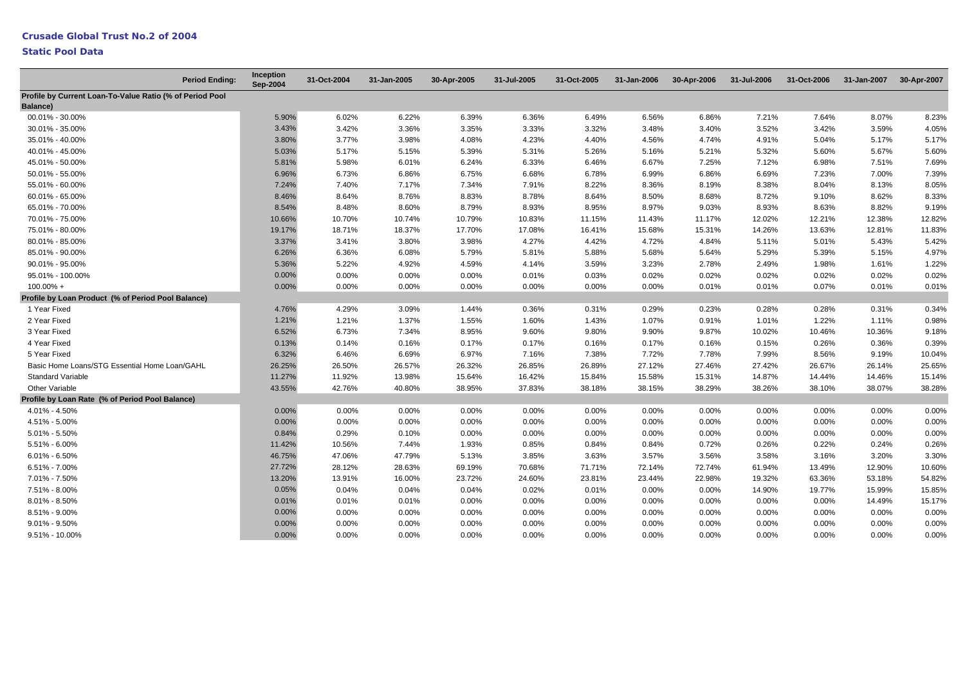| <b>Period Ending:</b>                                                       | Inception<br>Sep-2004 | 31-Oct-2004 | 31-Jan-2005 | 30-Apr-2005 | 31-Jul-2005 | 31-Oct-2005 | 31-Jan-2006 | 30-Apr-2006 | 31-Jul-2006 | 31-Oct-2006 | 31-Jan-2007 | 30-Apr-2007 |
|-----------------------------------------------------------------------------|-----------------------|-------------|-------------|-------------|-------------|-------------|-------------|-------------|-------------|-------------|-------------|-------------|
| Profile by Current Loan-To-Value Ratio (% of Period Pool<br><b>Balance)</b> |                       |             |             |             |             |             |             |             |             |             |             |             |
| 00.01% - 30.00%                                                             | 5.90%                 | 6.02%       | 6.22%       | 6.39%       | 6.36%       | 6.49%       | 6.56%       | 6.86%       | 7.21%       | 7.64%       | 8.07%       | 8.23%       |
| 30.01% - 35.00%                                                             | 3.43%                 | 3.42%       | 3.36%       | 3.35%       | 3.33%       | 3.32%       | 3.48%       | 3.40%       | 3.52%       | 3.42%       | 3.59%       | 4.05%       |
| 35.01% - 40.00%                                                             | 3.80%                 | 3.77%       | 3.98%       | 4.08%       | 4.23%       | 4.40%       | 4.56%       | 4.74%       | 4.91%       | 5.04%       | 5.17%       | 5.17%       |
| 40.01% - 45.00%                                                             | 5.03%                 | 5.17%       | 5.15%       | 5.39%       | 5.31%       | 5.26%       | 5.16%       | 5.21%       | 5.32%       | 5.60%       | 5.67%       | 5.60%       |
| 45.01% - 50.00%                                                             | 5.81%                 | 5.98%       | 6.01%       | 6.24%       | 6.33%       | 6.46%       | 6.67%       | 7.25%       | 7.12%       | 6.98%       | 7.51%       | 7.69%       |
| 50.01% - 55.00%                                                             | 6.96%                 | 6.73%       | 6.86%       | 6.75%       | 6.68%       | 6.78%       | 6.99%       | 6.86%       | 6.69%       | 7.23%       | 7.00%       | 7.39%       |
| 55.01% - 60.00%                                                             | 7.24%                 | 7.40%       | 7.17%       | 7.34%       | 7.91%       | 8.22%       | 8.36%       | 8.19%       | 8.38%       | 8.04%       | 8.13%       | 8.05%       |
| 60.01% - 65.00%                                                             | 8.46%                 | 8.64%       | 8.76%       | 8.83%       | 8.78%       | 8.64%       | 8.50%       | 8.68%       | 8.72%       | 9.10%       | 8.62%       | 8.33%       |
| 65.01% - 70.00%                                                             | 8.54%                 | 8.48%       | 8.60%       | 8.79%       | 8.93%       | 8.95%       | 8.97%       | 9.03%       | 8.93%       | 8.63%       | 8.82%       | 9.19%       |
| 70.01% - 75.00%                                                             | 10.66%                | 10.70%      | 10.74%      | 10.79%      | 10.83%      | 11.15%      | 11.43%      | 11.17%      | 12.02%      | 12.21%      | 12.38%      | 12.82%      |
| 75.01% - 80.00%                                                             | 19.17%                | 18.71%      | 18.37%      | 17.70%      | 17.08%      | 16.41%      | 15.68%      | 15.31%      | 14.26%      | 13.63%      | 12.81%      | 11.83%      |
| 80.01% - 85.00%                                                             | 3.37%                 | 3.41%       | 3.80%       | 3.98%       | 4.27%       | 4.42%       | 4.72%       | 4.84%       | 5.11%       | 5.01%       | 5.43%       | 5.42%       |
| 85.01% - 90.00%                                                             | 6.26%                 | 6.36%       | 6.08%       | 5.79%       | 5.81%       | 5.88%       | 5.68%       | 5.64%       | 5.29%       | 5.39%       | 5.15%       | 4.97%       |
| 90.01% - 95.00%                                                             | 5.36%                 | 5.22%       | 4.92%       | 4.59%       | 4.14%       | 3.59%       | 3.23%       | 2.78%       | 2.49%       | 1.98%       | 1.61%       | 1.22%       |
| 95.01% - 100.00%                                                            | 0.00%                 | 0.00%       | 0.00%       | 0.00%       | 0.01%       | 0.03%       | 0.02%       | 0.02%       | 0.02%       | 0.02%       | 0.02%       | 0.02%       |
| $100.00\% +$                                                                | 0.00%                 | 0.00%       | 0.00%       | 0.00%       | 0.00%       | 0.00%       | 0.00%       | 0.01%       | 0.01%       | 0.07%       | 0.01%       | 0.01%       |
| Profile by Loan Product (% of Period Pool Balance)                          |                       |             |             |             |             |             |             |             |             |             |             |             |
| 1 Year Fixed                                                                | 4.76%                 | 4.29%       | 3.09%       | 1.44%       | 0.36%       | 0.31%       | 0.29%       | 0.23%       | 0.28%       | 0.28%       | 0.31%       | 0.34%       |
| 2 Year Fixed                                                                | 1.21%                 | 1.21%       | 1.37%       | 1.55%       | 1.60%       | 1.43%       | 1.07%       | 0.91%       | 1.01%       | 1.22%       | 1.11%       | 0.98%       |
| 3 Year Fixed                                                                | 6.52%                 | 6.73%       | 7.34%       | 8.95%       | 9.60%       | 9.80%       | 9.90%       | 9.87%       | 10.02%      | 10.46%      | 10.36%      | 9.18%       |
| 4 Year Fixed                                                                | 0.13%                 | 0.14%       | 0.16%       | 0.17%       | 0.17%       | 0.16%       | 0.17%       | 0.16%       | 0.15%       | 0.26%       | 0.36%       | 0.39%       |
| 5 Year Fixed                                                                | 6.32%                 | 6.46%       | 6.69%       | 6.97%       | 7.16%       | 7.38%       | 7.72%       | 7.78%       | 7.99%       | 8.56%       | 9.19%       | 10.04%      |
| Basic Home Loans/STG Essential Home Loan/GAHL                               | 26.25%                | 26.50%      | 26.57%      | 26.32%      | 26.85%      | 26.89%      | 27.12%      | 27.46%      | 27.42%      | 26.67%      | 26.14%      | 25.65%      |
| <b>Standard Variable</b>                                                    | 11.27%                | 11.92%      | 13.98%      | 15.64%      | 16.42%      | 15.84%      | 15.58%      | 15.31%      | 14.87%      | 14.44%      | 14.46%      | 15.14%      |
| Other Variable                                                              | 43.55%                | 42.76%      | 40.80%      | 38.95%      | 37.83%      | 38.18%      | 38.15%      | 38.29%      | 38.26%      | 38.10%      | 38.07%      | 38.28%      |
| Profile by Loan Rate (% of Period Pool Balance)                             |                       |             |             |             |             |             |             |             |             |             |             |             |
| 4.01% - 4.50%                                                               | 0.00%                 | 0.00%       | 0.00%       | 0.00%       | 0.00%       | 0.00%       | $0.00\%$    | 0.00%       | $0.00\%$    | 0.00%       | 0.00%       | 0.00%       |
| 4.51% - 5.00%                                                               | 0.00%                 | 0.00%       | 0.00%       | 0.00%       | 0.00%       | 0.00%       | 0.00%       | 0.00%       | 0.00%       | 0.00%       | $0.00\%$    | 0.00%       |
| 5.01% - 5.50%                                                               | 0.84%                 | 0.29%       | 0.10%       | 0.00%       | 0.00%       | 0.00%       | 0.00%       | 0.00%       | 0.00%       | 0.00%       | 0.00%       | 0.00%       |
| 5.51% - 6.00%                                                               | 11.42%                | 10.56%      | 7.44%       | 1.93%       | 0.85%       | 0.84%       | 0.84%       | 0.72%       | 0.26%       | 0.22%       | 0.24%       | 0.26%       |
| $6.01\% - 6.50\%$                                                           | 46.75%                | 47.06%      | 47.79%      | 5.13%       | 3.85%       | 3.63%       | 3.57%       | 3.56%       | 3.58%       | 3.16%       | 3.20%       | 3.30%       |
| $6.51\% - 7.00\%$                                                           | 27.72%                | 28.12%      | 28.63%      | 69.19%      | 70.68%      | 71.71%      | 72.14%      | 72.74%      | 61.94%      | 13.49%      | 12.90%      | 10.60%      |
| 7.01% - 7.50%                                                               | 13.20%                | 13.91%      | 16.00%      | 23.72%      | 24.60%      | 23.81%      | 23.44%      | 22.98%      | 19.32%      | 63.36%      | 53.18%      | 54.82%      |
| 7.51% - 8.00%                                                               | 0.05%                 | 0.04%       | 0.04%       | 0.04%       | 0.02%       | 0.01%       | 0.00%       | 0.00%       | 14.90%      | 19.77%      | 15.99%      | 15.85%      |
| $8.01\% - 8.50\%$                                                           | 0.01%                 | 0.01%       | 0.01%       | 0.00%       | 0.00%       | 0.00%       | 0.00%       | 0.00%       | 0.00%       | 0.00%       | 14.49%      | 15.17%      |
| 8.51% - 9.00%                                                               | 0.00%                 | 0.00%       | 0.00%       | 0.00%       | 0.00%       | 0.00%       | 0.00%       | 0.00%       | 0.00%       | 0.00%       | 0.00%       | 0.00%       |
| $9.01\% - 9.50\%$                                                           | 0.00%                 | 0.00%       | 0.00%       | 0.00%       | 0.00%       | 0.00%       | 0.00%       | 0.00%       | 0.00%       | 0.00%       | 0.00%       | 0.00%       |
| $9.51\% - 10.00\%$                                                          | 0.00%                 | 0.00%       | 0.00%       | 0.00%       | 0.00%       | 0.00%       | $0.00\%$    | 0.00%       | 0.00%       | 0.00%       | 0.00%       | 0.00%       |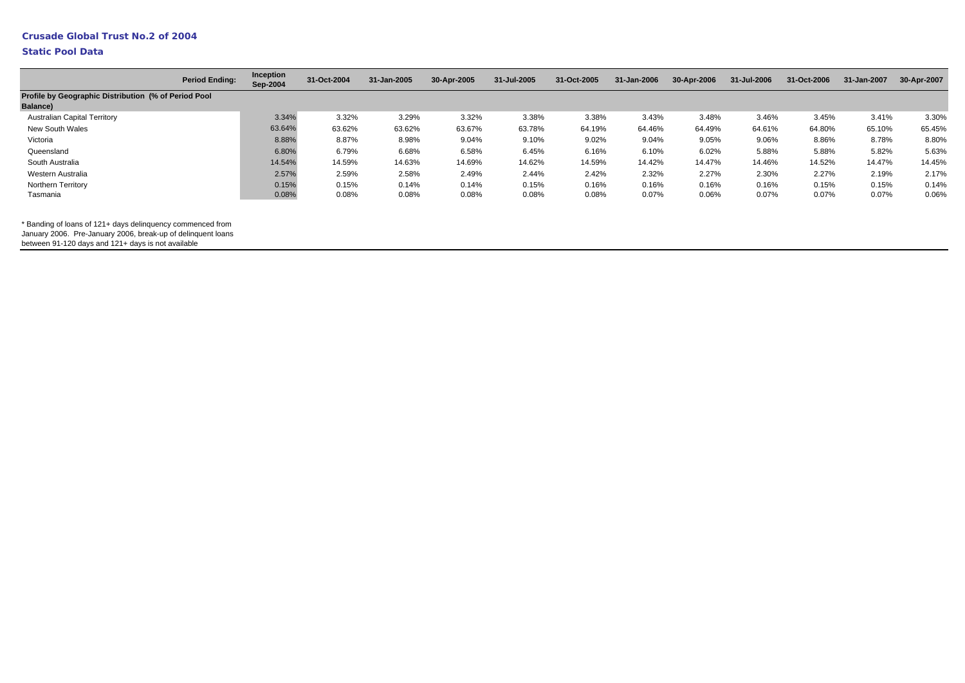## **Static Pool Data**

|                                                                         | <b>Period Ending:</b> | Inception<br>Sep-2004 | 31-Oct-2004 | 31-Jan-2005 | 30-Apr-2005 | 31-Jul-2005 | 31-Oct-2005 | 31-Jan-2006 | 30-Apr-2006 | 31-Jul-2006 | 31-Oct-2006 | 31-Jan-2007 | 30-Apr-2007 |
|-------------------------------------------------------------------------|-----------------------|-----------------------|-------------|-------------|-------------|-------------|-------------|-------------|-------------|-------------|-------------|-------------|-------------|
| Profile by Geographic Distribution (% of Period Pool<br><b>Balance)</b> |                       |                       |             |             |             |             |             |             |             |             |             |             |             |
| <b>Australian Capital Territory</b>                                     |                       | 3.34%                 | 3.32%       | 3.29%       | 3.32%       | 3.38%       | 3.38%       | 3.43%       | 3.48%       | 3.46%       | 3.45%       | 3.41%       | 3.30%       |
| New South Wales                                                         |                       | 63.64%                | 63.62%      | 63.62%      | 63.67%      | 63.78%      | 64.19%      | 64.46%      | 64.49%      | 64.61%      | 64.80%      | 65.10%      | 65.45%      |
| Victoria                                                                |                       | 8.88%                 | 8.87%       | 8.98%       | 9.04%       | 9.10%       | 9.02%       | 9.04%       | 9.05%       | 9.06%       | 8.86%       | 8.78%       | 8.80%       |
| Queensland                                                              |                       | 6.80%                 | 6.79%       | 6.68%       | 6.58%       | 6.45%       | 6.16%       | 6.10%       | 6.02%       | 5.88%       | 5.88%       | 5.82%       | 5.63%       |
| South Australia                                                         |                       | 14.54%                | 14.59%      | 14.63%      | 14.69%      | 14.62%      | 14.59%      | 14.42%      | 14.47%      | 14.46%      | 14.52%      | 14.47%      | 14.45%      |
| Western Australia                                                       |                       | 2.57%                 | 2.59%       | 2.58%       | 2.49%       | 2.44%       | 2.42%       | 2.32%       | 2.27%       | 2.30%       | 2.27%       | 2.19%       | 2.17%       |
| <b>Northern Territory</b>                                               |                       | 0.15%                 | 0.15%       | 0.14%       | 0.14%       | 0.15%       | 0.16%       | 0.16%       | 0.16%       | 0.16%       | 0.15%       | 0.15%       | 0.14%       |
| Tasmania                                                                |                       | 0.08%                 | 0.08%       | 0.08%       | 0.08%       | 0.08%       | 0.08%       | 0.07%       | 0.06%       | 0.07%       | 0.07%       | 0.07%       | 0.06%       |

\* Banding of loans of 121+ days delinquency commenced from

January 2006. Pre-January 2006, break-up of delinquent loans

between 91-120 days and 121+ days is not available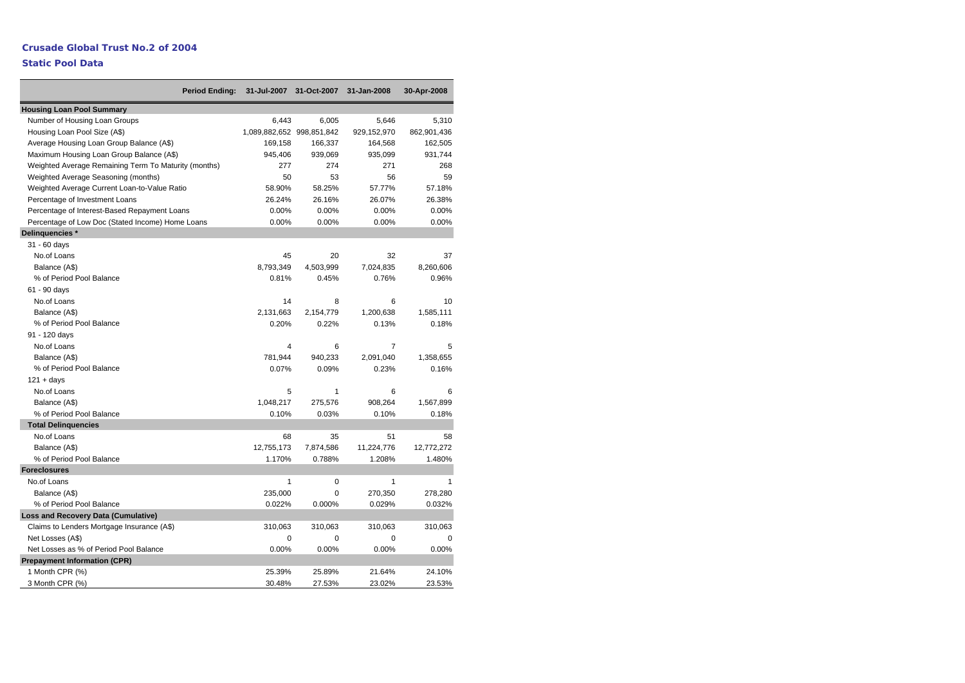|                                                      | <b>Period Ending:</b> | 31-Jul-2007               | 31-Oct-2007 | 31-Jan-2008    | 30-Apr-2008 |
|------------------------------------------------------|-----------------------|---------------------------|-------------|----------------|-------------|
| <b>Housing Loan Pool Summary</b>                     |                       |                           |             |                |             |
| Number of Housing Loan Groups                        |                       | 6,443                     | 6,005       | 5,646          | 5,310       |
| Housing Loan Pool Size (A\$)                         |                       | 1,089,882,652 998,851,842 |             | 929,152,970    | 862,901,436 |
| Average Housing Loan Group Balance (A\$)             |                       | 169,158                   | 166,337     | 164,568        | 162,505     |
| Maximum Housing Loan Group Balance (A\$)             |                       | 945,406                   | 939,069     | 935,099        | 931,744     |
| Weighted Average Remaining Term To Maturity (months) |                       | 277                       | 274         | 271            | 268         |
| Weighted Average Seasoning (months)                  |                       | 50                        | 53          | 56             | 59          |
| Weighted Average Current Loan-to-Value Ratio         |                       | 58.90%                    | 58.25%      | 57.77%         | 57.18%      |
| Percentage of Investment Loans                       |                       | 26.24%                    | 26.16%      | 26.07%         | 26.38%      |
| Percentage of Interest-Based Repayment Loans         |                       | 0.00%                     | 0.00%       | 0.00%          | 0.00%       |
| Percentage of Low Doc (Stated Income) Home Loans     |                       | 0.00%                     | 0.00%       | 0.00%          | 0.00%       |
| Delinquencies *                                      |                       |                           |             |                |             |
| 31 - 60 days                                         |                       |                           |             |                |             |
| No.of Loans                                          |                       | 45                        | 20          | 32             | 37          |
| Balance (A\$)                                        |                       | 8,793,349                 | 4,503,999   | 7,024,835      | 8,260,606   |
| % of Period Pool Balance                             |                       | 0.81%                     | 0.45%       | 0.76%          | 0.96%       |
| 61 - 90 days                                         |                       |                           |             |                |             |
| No.of Loans                                          |                       | 14                        | 8           | 6              | 10          |
| Balance (A\$)                                        |                       | 2,131,663                 | 2,154,779   | 1,200,638      | 1,585,111   |
| % of Period Pool Balance                             |                       | 0.20%                     | 0.22%       | 0.13%          | 0.18%       |
| 91 - 120 days                                        |                       |                           |             |                |             |
| No.of Loans                                          |                       | $\overline{\mathbf{4}}$   | 6           | $\overline{7}$ | 5           |
| Balance (A\$)                                        |                       | 781,944                   | 940,233     | 2,091,040      | 1,358,655   |
| % of Period Pool Balance                             |                       | 0.07%                     | 0.09%       | 0.23%          | 0.16%       |
| $121 + days$                                         |                       |                           |             |                |             |
| No.of Loans                                          |                       | 5                         | 1           | 6              | 6           |
| Balance (A\$)                                        |                       | 1,048,217                 | 275,576     | 908,264        | 1,567,899   |
| % of Period Pool Balance                             |                       | 0.10%                     | 0.03%       | 0.10%          | 0.18%       |
| <b>Total Delinguencies</b>                           |                       |                           |             |                |             |
| No.of Loans                                          |                       | 68                        | 35          | 51             | 58          |
| Balance (A\$)                                        |                       | 12,755,173                | 7,874,586   | 11,224,776     | 12,772,272  |
| % of Period Pool Balance                             |                       | 1.170%                    | 0.788%      | 1.208%         | 1.480%      |
| <b>Foreclosures</b>                                  |                       |                           |             |                |             |
| No.of Loans                                          |                       | $\mathbf{1}$              | 0           | $\mathbf{1}$   | 1           |
| Balance (A\$)                                        |                       | 235,000                   | 0           | 270,350        | 278,280     |
| % of Period Pool Balance                             |                       | 0.022%                    | 0.000%      | 0.029%         | 0.032%      |
| <b>Loss and Recovery Data (Cumulative)</b>           |                       |                           |             |                |             |
| Claims to Lenders Mortgage Insurance (A\$)           |                       | 310,063                   | 310,063     | 310,063        | 310,063     |
| Net Losses (A\$)                                     |                       | 0                         | 0           | 0              | 0           |
| Net Losses as % of Period Pool Balance               |                       | 0.00%                     | 0.00%       | 0.00%          | 0.00%       |
| <b>Prepayment Information (CPR)</b>                  |                       |                           |             |                |             |
| 1 Month CPR (%)                                      |                       | 25.39%                    | 25.89%      | 21.64%         | 24.10%      |
| 3 Month CPR (%)                                      |                       | 30.48%                    | 27.53%      | 23.02%         | 23.53%      |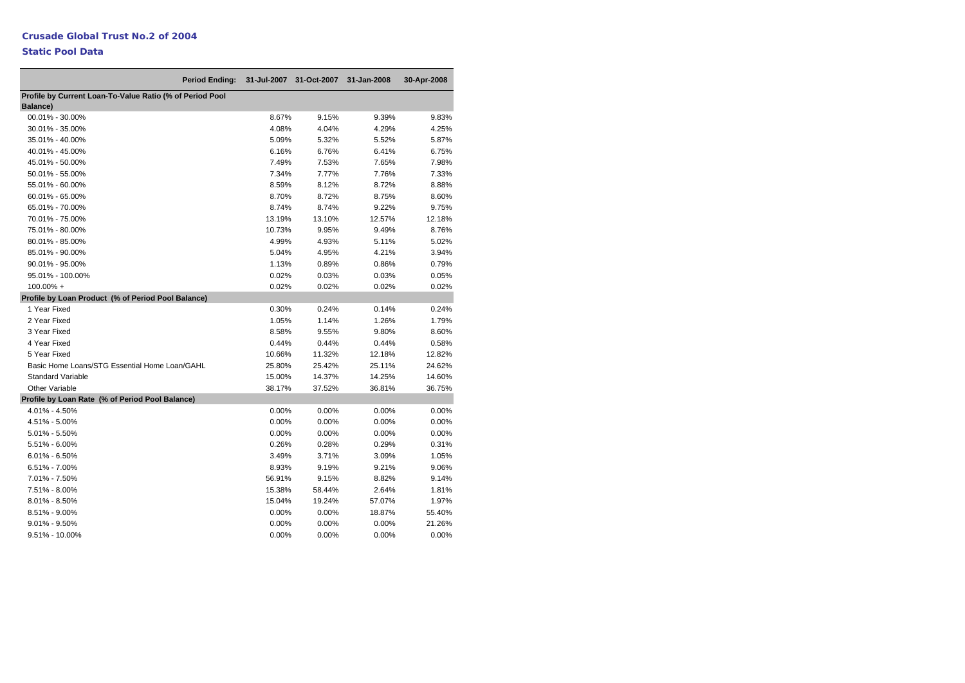| <b>Period Ending:</b>                                                       | 31-Jul-2007 | 31-Oct-2007 | 31-Jan-2008 | 30-Apr-2008 |
|-----------------------------------------------------------------------------|-------------|-------------|-------------|-------------|
| Profile by Current Loan-To-Value Ratio (% of Period Pool<br><b>Balance)</b> |             |             |             |             |
| 00.01% - 30.00%                                                             | 8.67%       | 9.15%       | 9.39%       | 9.83%       |
| 30.01% - 35.00%                                                             | 4.08%       | 4.04%       | 4.29%       | 4.25%       |
| 35.01% - 40.00%                                                             | 5.09%       | 5.32%       | 5.52%       | 5.87%       |
| 40.01% - 45.00%                                                             | 6.16%       | 6.76%       | 6.41%       | 6.75%       |
| 45.01% - 50.00%                                                             | 7.49%       | 7.53%       | 7.65%       | 7.98%       |
| 50.01% - 55.00%                                                             | 7.34%       | 7.77%       | 7.76%       | 7.33%       |
| 55.01% - 60.00%                                                             | 8.59%       | 8.12%       | 8.72%       | 8.88%       |
| 60.01% - 65.00%                                                             | 8.70%       | 8.72%       | 8.75%       | 8.60%       |
| 65.01% - 70.00%                                                             | 8.74%       | 8.74%       | 9.22%       | 9.75%       |
| 70.01% - 75.00%                                                             | 13.19%      | 13.10%      | 12.57%      | 12.18%      |
| 75.01% - 80.00%                                                             | 10.73%      | 9.95%       | 9.49%       | 8.76%       |
| 80.01% - 85.00%                                                             | 4.99%       | 4.93%       | 5.11%       | 5.02%       |
| 85.01% - 90.00%                                                             | 5.04%       | 4.95%       | 4.21%       | 3.94%       |
| 90.01% - 95.00%                                                             | 1.13%       | 0.89%       | 0.86%       | 0.79%       |
| 95.01% - 100.00%                                                            | 0.02%       | 0.03%       | 0.03%       | 0.05%       |
| 100.00% +                                                                   | 0.02%       | 0.02%       | 0.02%       | 0.02%       |
| Profile by Loan Product (% of Period Pool Balance)                          |             |             |             |             |
| 1 Year Fixed                                                                | 0.30%       | 0.24%       | 0.14%       | 0.24%       |
| 2 Year Fixed                                                                | 1.05%       | 1.14%       | 1.26%       | 1.79%       |
| 3 Year Fixed                                                                | 8.58%       | 9.55%       | 9.80%       | 8.60%       |
| 4 Year Fixed                                                                | 0.44%       | 0.44%       | 0.44%       | 0.58%       |
| 5 Year Fixed                                                                | 10.66%      | 11.32%      | 12.18%      | 12.82%      |
| Basic Home Loans/STG Essential Home Loan/GAHL                               | 25.80%      | 25.42%      | 25.11%      | 24.62%      |
| <b>Standard Variable</b>                                                    | 15.00%      | 14.37%      | 14.25%      | 14.60%      |
| Other Variable                                                              | 38.17%      | 37.52%      | 36.81%      | 36.75%      |
| Profile by Loan Rate (% of Period Pool Balance)                             |             |             |             |             |
| 4.01% - 4.50%                                                               | 0.00%       | 0.00%       | 0.00%       | 0.00%       |
| 4.51% - 5.00%                                                               | 0.00%       | 0.00%       | 0.00%       | $0.00\%$    |
| 5.01% - 5.50%                                                               | 0.00%       | 0.00%       | 0.00%       | 0.00%       |
| 5.51% - 6.00%                                                               | 0.26%       | 0.28%       | 0.29%       | 0.31%       |
| $6.01\% - 6.50\%$                                                           | 3.49%       | 3.71%       | 3.09%       | 1.05%       |
| 6.51% - 7.00%                                                               | 8.93%       | 9.19%       | 9.21%       | 9.06%       |
| 7.01% - 7.50%                                                               | 56.91%      | 9.15%       | 8.82%       | 9.14%       |
| 7.51% - 8.00%                                                               | 15.38%      | 58.44%      | 2.64%       | 1.81%       |
| 8.01% - 8.50%                                                               | 15.04%      | 19.24%      | 57.07%      | 1.97%       |
| 8.51% - 9.00%                                                               | 0.00%       | 0.00%       | 18.87%      | 55.40%      |
| $9.01\% - 9.50\%$                                                           | 0.00%       | 0.00%       | 0.00%       | 21.26%      |
| 9.51% - 10.00%                                                              | 0.00%       | 0.00%       | 0.00%       | 0.00%       |